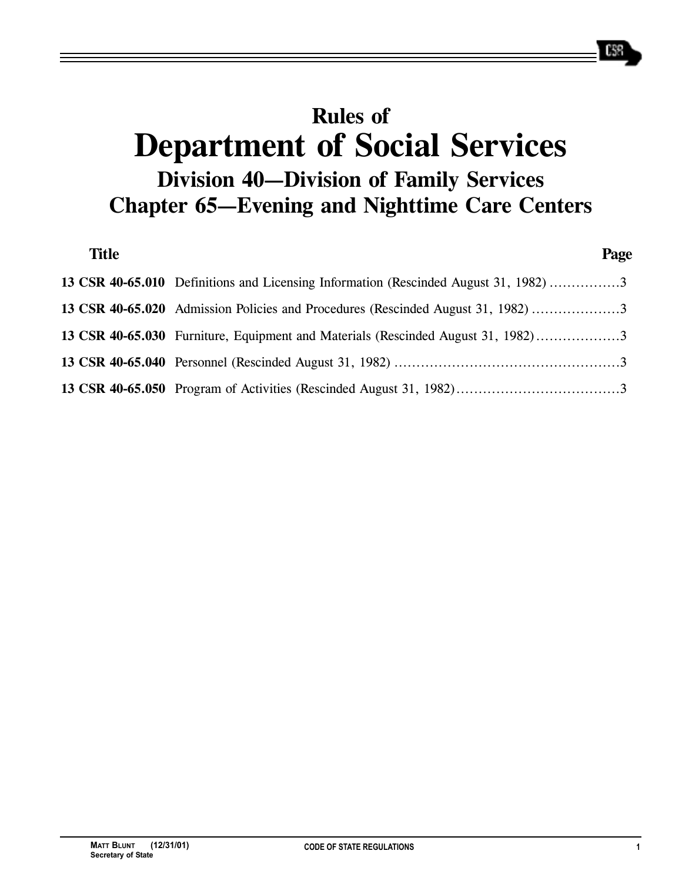# **Rules of Department of Social Services Division 40—Division of Family Services Chapter 65—Evening and Nighttime Care Centers**

| <b>Title</b> |                                                                                      | Page |
|--------------|--------------------------------------------------------------------------------------|------|
|              | 13 CSR 40-65.010 Definitions and Licensing Information (Rescinded August 31, 1982) 3 |      |
|              | 13 CSR 40-65.020 Admission Policies and Procedures (Rescinded August 31, 1982)       |      |
|              | 13 CSR 40-65.030 Furniture, Equipment and Materials (Rescinded August 31, 1982)      |      |
|              |                                                                                      |      |
|              |                                                                                      |      |